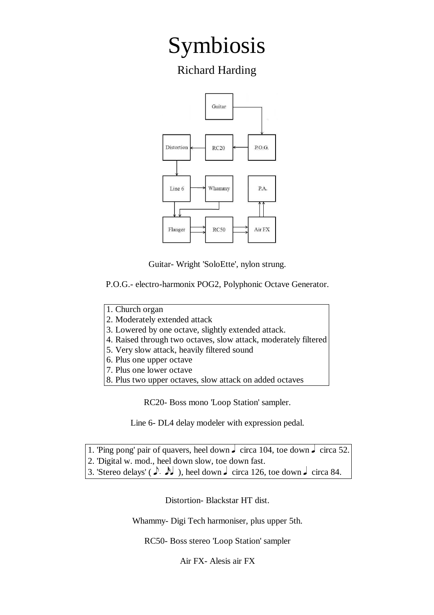## Symbiosis

Richard Harding



Guitar- Wright 'SoloEtte', nylon strung.

P.O.G.- electro-harmonix POG2, Polyphonic Octave Generator. 

- 1. Church organ
- 2. Moderately extended attack
- 3. Lowered by one octave, slightly extended attack.
- 4. Raised through two octaves, slow attack, moderately filtered
- 5. Very slow attack, heavily filtered sound
- 6. Plus one upper octave
- 7. Plus one lower octave
- 8. Plus two upper octaves, slow attack on added octaves

RC20- Boss mono 'Loop Station' sampler.

Line 6- DL4 delay modeler with expression pedal.

- 1. 'Ping pong' pair of quavers, heel down  $\int$  circa 104, toe down  $\int$  circa 52.
- 2. 'Digital w. mod., heel down slow, toe down fast.
- 3. 'Stereo delays' ( $\downarrow$   $\downarrow$  ), heel down  $\downarrow$  circa 126, toe down  $\downarrow$  circa 84.

Distortion- Blackstar HT dist.

Whammy- Digi Tech harmoniser, plus upper 5th.

RC50- Boss stereo 'Loop Station' sampler

Air FX- Alesis air FX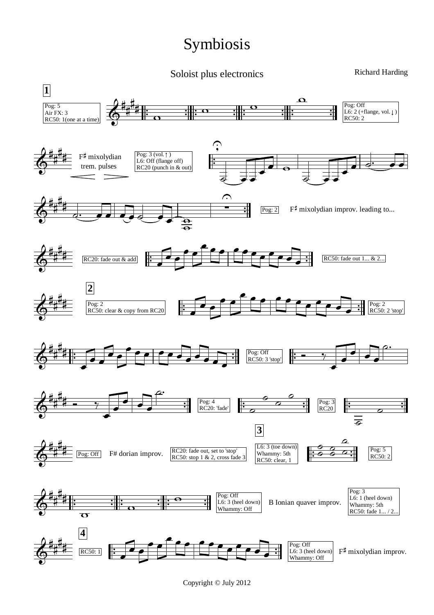## Symbiosis

Soloist plus electronics

Richard Harding



Copyright © July 2012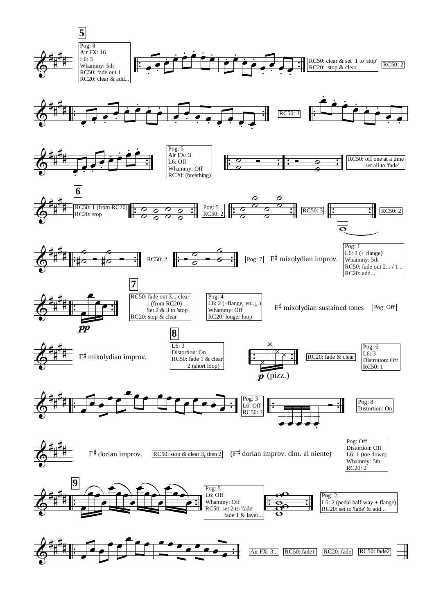